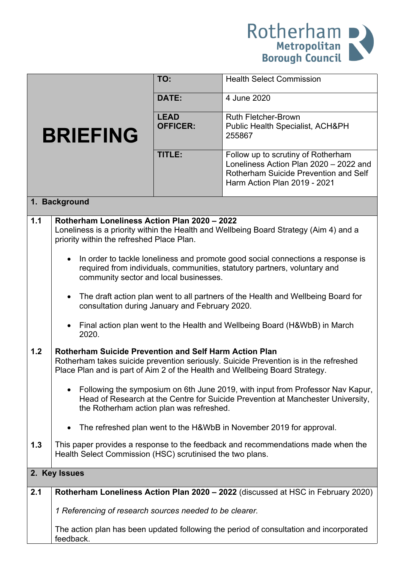

|                 |                                                                                                                                                                                                                                      | TO:                            | <b>Health Select Commission</b>                                                                                                                       |  |
|-----------------|--------------------------------------------------------------------------------------------------------------------------------------------------------------------------------------------------------------------------------------|--------------------------------|-------------------------------------------------------------------------------------------------------------------------------------------------------|--|
| <b>BRIEFING</b> |                                                                                                                                                                                                                                      | DATE:                          | 4 June 2020                                                                                                                                           |  |
|                 |                                                                                                                                                                                                                                      | <b>LEAD</b><br><b>OFFICER:</b> | <b>Ruth Fletcher-Brown</b><br>Public Health Specialist, ACH&PH<br>255867                                                                              |  |
|                 |                                                                                                                                                                                                                                      | TITLE:                         | Follow up to scrutiny of Rotherham<br>Loneliness Action Plan 2020 - 2022 and<br>Rotherham Suicide Prevention and Self<br>Harm Action Plan 2019 - 2021 |  |
| 1. Background   |                                                                                                                                                                                                                                      |                                |                                                                                                                                                       |  |
| 1.1             | Rotherham Loneliness Action Plan 2020 - 2022<br>Loneliness is a priority within the Health and Wellbeing Board Strategy (Aim 4) and a<br>priority within the refreshed Place Plan.                                                   |                                |                                                                                                                                                       |  |
|                 | In order to tackle loneliness and promote good social connections a response is<br>$\bullet$<br>required from individuals, communities, statutory partners, voluntary and<br>community sector and local businesses.                  |                                |                                                                                                                                                       |  |
|                 | $\bullet$<br>consultation during January and February 2020.                                                                                                                                                                          |                                | The draft action plan went to all partners of the Health and Wellbeing Board for                                                                      |  |
|                 | 2020.                                                                                                                                                                                                                                |                                | Final action plan went to the Health and Wellbeing Board (H&WbB) in March                                                                             |  |
| 1.2             | <b>Rotherham Suicide Prevention and Self Harm Action Plan</b><br>Rotherham takes suicide prevention seriously. Suicide Prevention is in the refreshed<br>Place Plan and is part of Aim 2 of the Health and Wellbeing Board Strategy. |                                |                                                                                                                                                       |  |
|                 | Following the symposium on 6th June 2019, with input from Professor Nav Kapur,<br>Head of Research at the Centre for Suicide Prevention at Manchester University,<br>the Rotherham action plan was refreshed.                        |                                |                                                                                                                                                       |  |
|                 |                                                                                                                                                                                                                                      |                                | The refreshed plan went to the H&WbB in November 2019 for approval.                                                                                   |  |
| 1.3             | This paper provides a response to the feedback and recommendations made when the<br>Health Select Commission (HSC) scrutinised the two plans.                                                                                        |                                |                                                                                                                                                       |  |
| 2. Key Issues   |                                                                                                                                                                                                                                      |                                |                                                                                                                                                       |  |
| 2.1             | Rotherham Loneliness Action Plan 2020 - 2022 (discussed at HSC in February 2020)                                                                                                                                                     |                                |                                                                                                                                                       |  |
|                 | 1 Referencing of research sources needed to be clearer.                                                                                                                                                                              |                                |                                                                                                                                                       |  |
|                 | The action plan has been updated following the period of consultation and incorporated<br>feedback.                                                                                                                                  |                                |                                                                                                                                                       |  |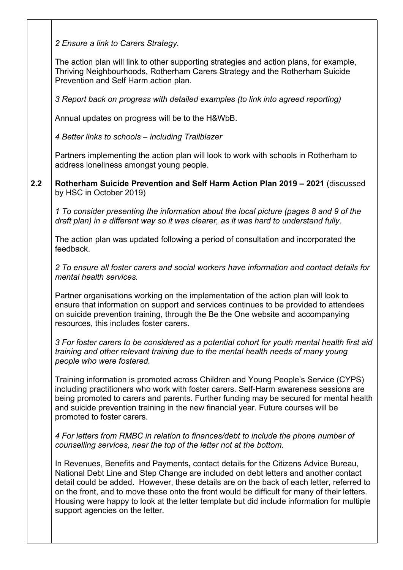*2 Ensure a link to Carers Strategy.*

The action plan will link to other supporting strategies and action plans, for example, Thriving Neighbourhoods, Rotherham Carers Strategy and the Rotherham Suicide Prevention and Self Harm action plan.

*3 Report back on progress with detailed examples (to link into agreed reporting)*

Annual updates on progress will be to the H&WbB.

*4 Better links to schools – including Trailblazer*

Partners implementing the action plan will look to work with schools in Rotherham to address loneliness amongst young people.

**2.2 Rotherham Suicide Prevention and Self Harm Action Plan 2019 – 2021** (discussed by HSC in October 2019)

*1 To consider presenting the information about the local picture (pages 8 and 9 of the draft plan) in a different way so it was clearer, as it was hard to understand fully.*

The action plan was updated following a period of consultation and incorporated the feedback.

*2 To ensure all foster carers and social workers have information and contact details for mental health services.*

Partner organisations working on the implementation of the action plan will look to ensure that information on support and services continues to be provided to attendees on suicide prevention training, through the Be the One website and accompanying resources, this includes foster carers.

*3 For foster carers to be considered as a potential cohort for youth mental health first aid training and other relevant training due to the mental health needs of many young people who were fostered.*

Training information is promoted across Children and Young People's Service (CYPS) including practitioners who work with foster carers. Self-Harm awareness sessions are being promoted to carers and parents. Further funding may be secured for mental health and suicide prevention training in the new financial year. Future courses will be promoted to foster carers.

*4 For letters from RMBC in relation to finances/debt to include the phone number of counselling services, near the top of the letter not at the bottom.*

In Revenues, Benefits and Payments**,** contact details for the Citizens Advice Bureau, National Debt Line and Step Change are included on debt letters and another contact detail could be added. However, these details are on the back of each letter, referred to on the front, and to move these onto the front would be difficult for many of their letters. Housing were happy to look at the letter template but did include information for multiple support agencies on the letter.